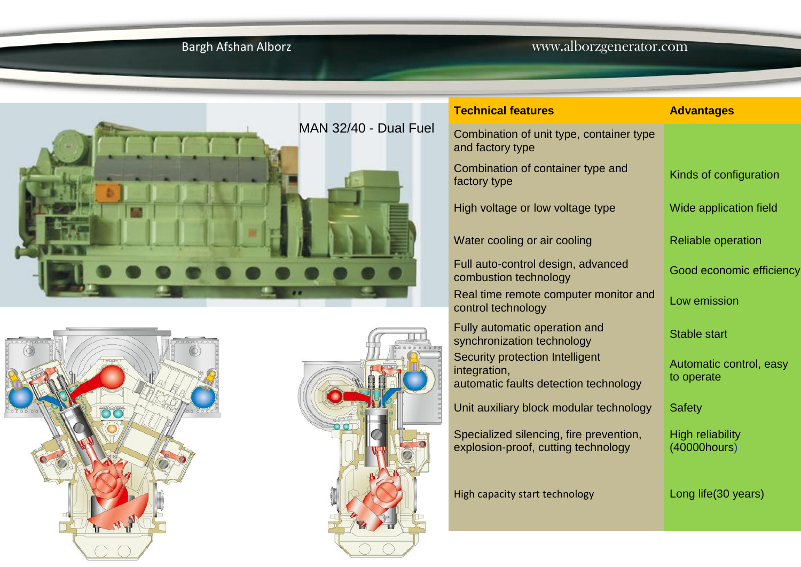## Bargh Afshan Alborz www.alborzgenerator.com







| <b>Technical features</b>                                                                | <b>Advantages</b>                       |
|------------------------------------------------------------------------------------------|-----------------------------------------|
| Combination of unit type, container type<br>and factory type                             |                                         |
| Combination of container type and<br>factory type                                        | Kinds of configuration                  |
| High voltage or low voltage type                                                         | Wide application field                  |
| Water cooling or air cooling                                                             | <b>Reliable operation</b>               |
| Full auto-control design, advanced<br>combustion technology                              | Good economic efficiency                |
| Real time remote computer monitor and<br>control technology                              | Low emission                            |
| Fully automatic operation and<br>synchronization technology                              | <b>Stable start</b>                     |
| Security protection Intelligent<br>integration,<br>automatic faults detection technology | Automatic control, easy<br>to operate   |
| Unit auxiliary block modular technology                                                  | <b>Safety</b>                           |
| Specialized silencing, fire prevention,<br>explosion-proof, cutting technology           | <b>High reliability</b><br>(40000hours) |
| High capacity start technology                                                           | Long life (30 years)                    |